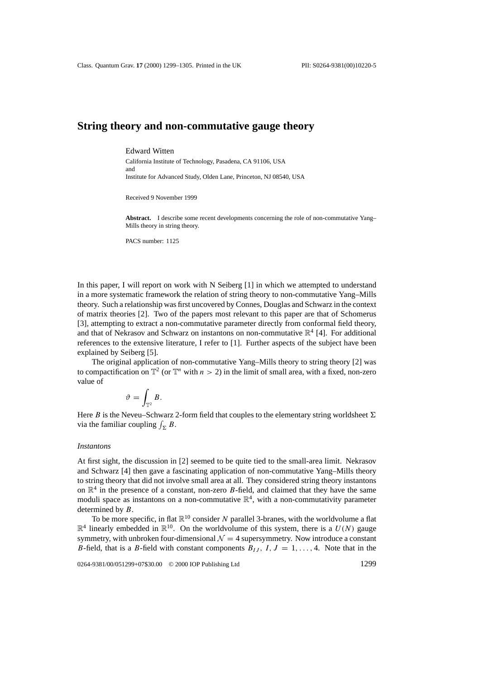# **String theory and non-commutative gauge theory**

#### Edward Witten

California Institute of Technology, Pasadena, CA 91106, USA and Institute for Advanced Study, Olden Lane, Princeton, NJ 08540, USA

Received 9 November 1999

**Abstract.** I describe some recent developments concerning the role of non-commutative Yang– Mills theory in string theory.

PACS number: 1125

In this paper, I will report on work with N Seiberg [1] in which we attempted to understand in a more systematic framework the relation of string theory to non-commutative Yang–Mills theory. Such a relationship was first uncovered by Connes, Douglas and Schwarz in the context of matrix theories [2]. Two of the papers most relevant to this paper are that of Schomerus [3], attempting to extract a non-commutative parameter directly from conformal field theory, and that of Nekrasov and Schwarz on instantons on non-commutative  $\mathbb{R}^4$  [4]. For additional references to the extensive literature, I refer to [1]. Further aspects of the subject have been explained by Seiberg [5].

The original application of non-commutative Yang–Mills theory to string theory [2] was to compactification on  $\mathbb{T}^2$  (or  $\mathbb{T}^n$  with  $n > 2$ ) in the limit of small area, with a fixed, non-zero value of

$$
\vartheta=\int_{\mathbb{T}^2}B.
$$

Here *B* is the Neveu–Schwarz 2-form field that couples to the elementary string worldsheet  $\Sigma$ via the familiar coupling  $\int_{\Sigma} B$ .

#### *Instantons*

At first sight, the discussion in [2] seemed to be quite tied to the small-area limit. Nekrasov and Schwarz [4] then gave a fascinating application of non-commutative Yang–Mills theory to string theory that did not involve small area at all. They considered string theory instantons on  $\mathbb{R}^4$  in the presence of a constant, non-zero *B*-field, and claimed that they have the same moduli space as instantons on a non-commutative  $\mathbb{R}^4$ , with a non-commutativity parameter determined by *B*.

To be more specific, in flat  $\mathbb{R}^{10}$  consider *N* parallel 3-branes, with the worldvolume a flat  $\mathbb{R}^4$  linearly embedded in  $\mathbb{R}^{10}$ . On the worldvolume of this system, there is a  $U(N)$  gauge symmetry, with unbroken four-dimensional  $\mathcal{N} = 4$  supersymmetry. Now introduce a constant *B*-field, that is a *B*-field with constant components  $B_{IJ}$ ,  $I, J = 1, \ldots, 4$ . Note that in the

0264-9381/00/051299+07\$30.00 © 2000 IOP Publishing Ltd 1299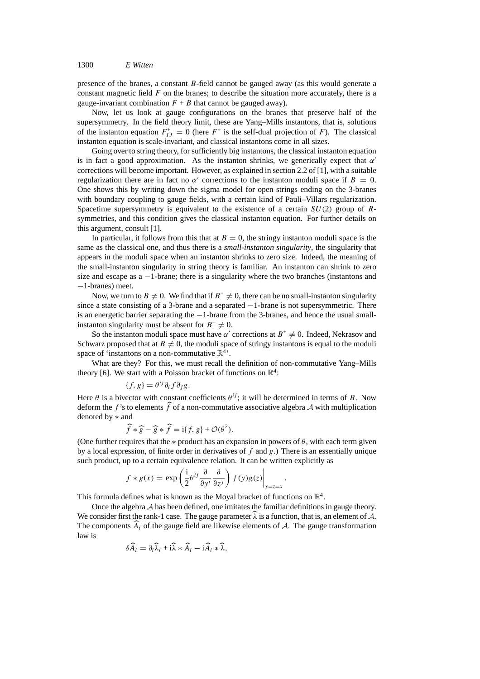presence of the branes, a constant *B*-field cannot be gauged away (as this would generate a constant magnetic field *F* on the branes; to describe the situation more accurately, there is a gauge-invariant combination  $F + B$  that cannot be gauged away).

Now, let us look at gauge configurations on the branes that preserve half of the supersymmetry. In the field theory limit, these are Yang–Mills instantons, that is, solutions of the instanton equation  $F_{IJ}^+ = 0$  (here  $F^+$  is the self-dual projection of *F*). The classical instanton equation is scale-invariant, and classical instantons come in all sizes.

Going over to string theory, for sufficiently big instantons, the classical instanton equation is in fact a good approximation. As the instanton shrinks, we generically expect that  $\alpha'$ corrections will become important. However, as explained in section 2.2 of [1], with a suitable regularization there are in fact no  $\alpha'$  corrections to the instanton moduli space if  $B = 0$ . One shows this by writing down the sigma model for open strings ending on the 3-branes with boundary coupling to gauge fields, with a certain kind of Pauli–Villars regularization. Spacetime supersymmetry is equivalent to the existence of a certain *SU(*2*)* group of *R*symmetries, and this condition gives the classical instanton equation. For further details on this argument, consult [1].

In particular, it follows from this that at  $B = 0$ , the stringy instanton moduli space is the same as the classical one, and thus there is a *small-instanton singularity*, the singularity that appears in the moduli space when an instanton shrinks to zero size. Indeed, the meaning of the small-instanton singularity in string theory is familiar. An instanton can shrink to zero size and escape as  $a -1$ -brane; there is a singularity where the two branches (instantons and −1-branes) meet.

Now, we turn to  $B \neq 0$ . We find that if  $B^+ \neq 0$ , there can be no small-instanton singularity since a state consisting of a 3-brane and a separated  $-1$ -brane is not supersymmetric. There is an energetic barrier separating the −1-brane from the 3-branes, and hence the usual smallinstanton singularity must be absent for  $B^+ \neq 0$ .

So the instanton moduli space must have *α'* corrections at  $B^+ \neq 0$ . Indeed, Nekrasov and Schwarz proposed that at  $B \neq 0$ , the moduli space of stringy instantons is equal to the moduli space of 'instantons on a non-commutative  $\mathbb{R}^4$ '.

What are they? For this, we must recall the definition of non-commutative Yang–Mills theory [6]. We start with a Poisson bracket of functions on  $\mathbb{R}^4$ :

$$
\{f, g\} = \theta^{ij}\partial_i f \partial_j g.
$$

Here  $\theta$  is a bivector with constant coefficients  $\theta^{ij}$ ; it will be determined in terms of *B*. Now deform the  $f$ 's to elements  $f$  of a non-commutative associative algebra  $A$  with multiplication denoted by ∗ and

$$
\widehat{f} * \widehat{g} - \widehat{g} * \widehat{f} = i\{f, g\} + \mathcal{O}(\theta^2).
$$

(One further requires that the  $*$  product has an expansion in powers of  $\theta$ , with each term given by a local expression, of finite order in derivatives of *f* and *g*.) There is an essentially unique such product, up to a certain equivalence relation. It can be written explicitly as

*.*

$$
f * g(x) = \exp\left(\frac{i}{2}\theta^{ij}\frac{\partial}{\partial y^i}\frac{\partial}{\partial z^j}\right)f(y)g(z)\bigg|_{y=z=x}
$$

This formula defines what is known as the Moyal bracket of functions on  $\mathbb{R}^4$ .

Once the algebra *A* has been defined, one imitates the familiar definitions in gauge theory. We consider first the rank-1 case. The gauge parameter  $\lambda$  is a function, that is, an element of  $\lambda$ . The components  $A_i$  of the gauge field are likewise elements of  $A$ . The gauge transformation law is

$$
\delta A_i = \partial_i \widetilde{\lambda}_i + i \widetilde{\lambda} * A_i - i A_i * \widetilde{\lambda},
$$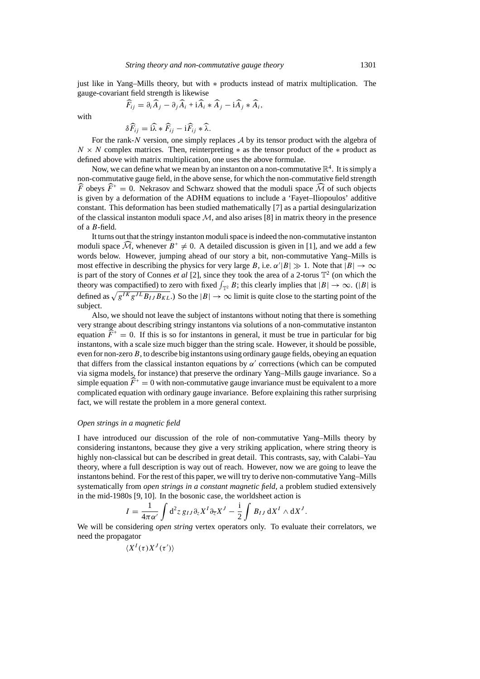just like in Yang–Mills theory, but with ∗ products instead of matrix multiplication. The gauge-covariant field strength is likewise

$$
\widehat{F}_{ij} = \partial_i \widehat{A}_j - \partial_j \widehat{A}_i + \widehat{A}_i \ast \widehat{A}_j - \widehat{A}_j \ast \widehat{A}_i,
$$

with

$$
\delta \widehat{F}_{ij} = \widehat{i\lambda} * \widehat{F}_{ij} - \widehat{i} \widehat{F}_{ij} * \widehat{\lambda}.
$$

For the rank-*N* version, one simply replaces *A* by its tensor product with the algebra of  $N \times N$  complex matrices. Then, reinterpreting  $*$  as the tensor product of the  $*$  product as defined above with matrix multiplication, one uses the above formulae.

Now, we can define what we mean by an instanton on a non-commutative  $\mathbb{R}^4$ . It is simply a non-commutative gauge field, in the above sense, for which the non-commutative field strength  $\widehat{F}$  obeys  $\widehat{F}^+ = 0$ . Nekrasov and Schwarz showed that the moduli space  $\widehat{M}$  of such objects is given by a deformation of the ADHM equations to include a 'Fayet–Iliopoulos' additive constant. This deformation has been studied mathematically [7] as a partial desingularization of the classical instanton moduli space  $M$ , and also arises [8] in matrix theory in the presence of a *B*-field.

It turns out that the stringy instanton moduli space is indeed the non-commutative instanton moduli space  $\mathcal{M}$ , whenever  $B^+ \neq 0$ . A detailed discussion is given in [1], and we add a few words below. However, jumping ahead of our story a bit, non-commutative Yang–Mills is most effective in describing the physics for very large *B*, i.e.  $\alpha' |B| \gg 1$ . Note that  $|B| \to \infty$ is part of the story of Connes *et al* [2], since they took the area of a 2-torus  $\mathbb{T}^2$  (on which the theory was compactified) to zero with fixed  $\int_{\mathbb{T}^2} B$ ; this clearly implies that  $|B| \to \infty$ . ( $|B|$  is defined as  $\sqrt{g^{IK}g^{JL}B_{IJ}B_{KL}}$ .) So the  $|B|\to\infty$  limit is quite close to the starting point of the subject.

Also, we should not leave the subject of instantons without noting that there is something very strange about describing stringy instantons via solutions of a non-commutative instanton equation  $\widehat{F}^+ = 0$ . If this is so for instantons in general, it must be true in particular for big instantons, with a scale size much bigger than the string scale. However, it should be possible, even for non-zero*B*, to describe big instantons using ordinary gauge fields, obeying an equation that differs from the classical instanton equations by  $\alpha'$  corrections (which can be computed via sigma models, for instance) that preserve the ordinary Yang–Mills gauge invariance. So a simple equation  $\widehat{F}^+ = 0$  with non-commutative gauge invariance must be equivalent to a more complicated equation with ordinary gauge invariance. Before explaining this rather surprising fact, we will restate the problem in a more general context.

#### *Open strings in a magnetic field*

I have introduced our discussion of the role of non-commutative Yang–Mills theory by considering instantons, because they give a very striking application, where string theory is highly non-classical but can be described in great detail. This contrasts, say, with Calabi–Yau theory, where a full description is way out of reach. However, now we are going to leave the instantons behind. For the rest of this paper, we will try to derive non-commutative Yang–Mills systematically from *open strings in a constant magnetic field*, a problem studied extensively in the mid-1980s [9, 10]. In the bosonic case, the worldsheet action is

$$
I = \frac{1}{4\pi\alpha'}\int d^2z \, g_{IJ}\partial_z X^I \partial_{\overline{z}} X^J - \frac{i}{2}\int B_{IJ} \, dX^I \wedge dX^J.
$$

We will be considering *open string* vertex operators only. To evaluate their correlators, we need the propagator

$$
\langle X^I(\tau) X^J(\tau')\rangle
$$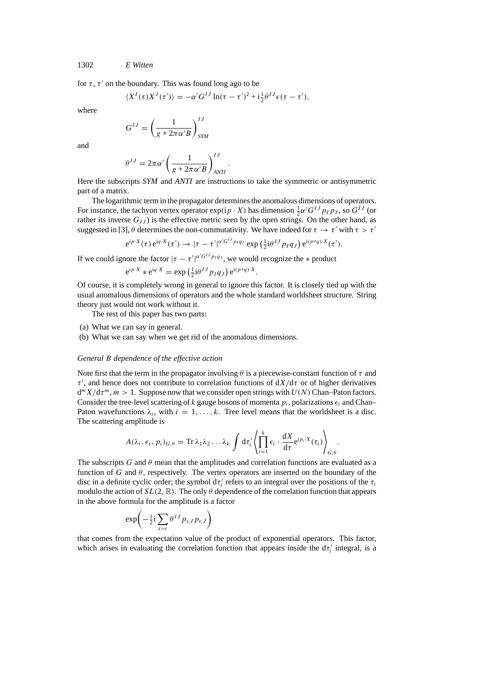1302 *E Witten*

for  $\tau$ ,  $\tau'$  on the boundary. This was found long ago to be

$$
\langle X^I(\tau)X^J(\tau')\rangle = -\alpha'G^{IJ}\ln(\tau-\tau')^2 + i\frac{1}{2}\theta^{IJ}\epsilon(\tau-\tau'),
$$

where

$$
G^{IJ} = \left(\frac{1}{g + 2\pi\alpha' B}\right)^{IJ}_{SYM}
$$

and

$$
\theta^{IJ} = 2\pi\alpha' \left(\frac{1}{g + 2\pi\alpha' B}\right)^{IJ}_{ANTI}
$$

Here the subscripts *SYM* and *ANTI* are instructions to take the symmetric or antisymmetric part of a matrix.

*.*

The logarithmic term in the propagator determines the anomalous dimensions of operators. For instance, the tachyon vertex operator  $exp(i p \cdot X)$  has dimension  $\frac{1}{2} \alpha' G^{IJ} p_I p_J$ , so  $G^{IJ}$  (or rather its inverse  $G_{IJ}$ ) is the effective metric seen by the open strings. On the other hand, as suggested in [3],  $\theta$  determines the non-commutativity. We have indeed for  $\tau \to \tau'$  with  $\tau > \tau'$ 

$$
e^{ip\cdot X}(\tau) e^{iq\cdot X}(\tau') \to |\tau - \tau'|^{\alpha' G^{IJ} p_I q_J} \exp\left(\frac{1}{2}i\theta^{IJ} p_I q_J\right) e^{i(p+q)\cdot X}(\tau').
$$

If we could ignore the factor  $|\tau - \tau'|^{\alpha' G^{IJ} p_I q_J}$ , we would recognize the  $*$  product

$$
e^{i p \cdot X} * e^{i q \cdot X} = \exp\left(\frac{1}{2} i \theta^{IJ} p_I q_J\right) e^{i (p+q) \cdot X}.
$$

Of course, it is completely wrong in general to ignore this factor. It is closely tied up with the usual anomalous dimensions of operators and the whole standard worldsheet structure. String theory just would not work without it.

The rest of this paper has two parts:

- (a) What we can say in general.
- (b) What we can say when we get rid of the anomalous dimensions.

#### *General B dependence of the effective action*

Note first that the term in the propagator involving *θ* is a piecewise-constant function of *τ* and  $\tau'$ , and hence does not contribute to correlation functions of  $dX/d\tau$  or of higher derivatives  $d^m X/d\tau^m$ ,  $m > 1$ . Suppose now that we consider open strings with  $U(N)$  Chan–Paton factors. Consider the tree-level scattering of *k* gauge bosons of momenta  $p_i$ , polarizations  $\epsilon_i$  and Chan– Paton wavefunctions  $\lambda_i$ , with  $i = 1, \ldots, k$ . Tree level means that the worldsheet is a disc. The scattering amplitude is

$$
A(\lambda_i,\epsilon_i,p_i)_{G,\theta}=\mathrm{Tr}\,\lambda_1\lambda_2\ldots\lambda_k\,\int\mathrm{d}\tau_i'\left\langle\prod_{i=1}^k\epsilon_i\cdot\frac{\mathrm{d}X}{\mathrm{d}\tau}\mathrm{e}^{\mathrm{i}p_i\cdot X}(\tau_i)\right\rangle_{G,\theta}.
$$

The subscripts *G* and  $\theta$  mean that the amplitudes and correlation functions are evaluated as a function of *G* and  $\theta$ , respectively. The vertex operators are inserted on the boundary of the disc in a definite cyclic order; the symbol  $d\tau_i'$  refers to an integral over the positions of the  $\tau_i$ modulo the action of  $SL(2, \mathbb{R})$ . The only  $\theta$  dependence of the correlation function that appears in the above formula for the amplitude is a factor

$$
\exp\left(-\tfrac{1}{2}\mathrm{i}\sum_{s>r}\theta^{IJ}p_{s,I}p_{r,J}\right)
$$

that comes from the expectation value of the product of exponential operators. This factor, which arises in evaluating the correlation function that appears inside the  $d\tau_i'$  integral, is a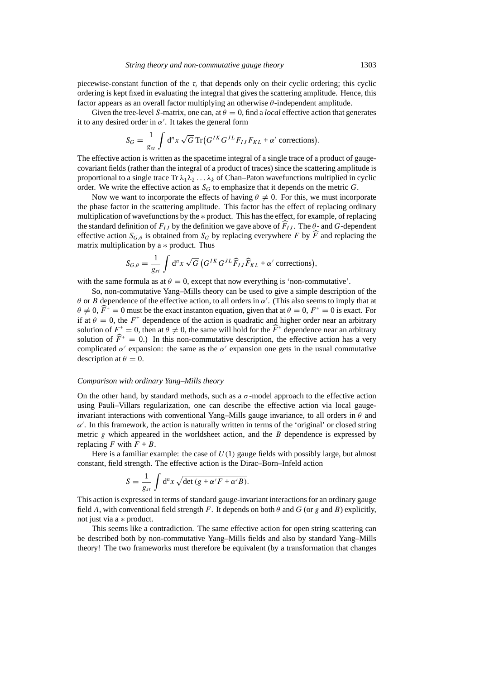piecewise-constant function of the  $\tau_i$  that depends only on their cyclic ordering; this cyclic ordering is kept fixed in evaluating the integral that gives the scattering amplitude. Hence, this factor appears as an overall factor multiplying an otherwise *θ*-independent amplitude.

Given the tree-level *S*-matrix, one can, at  $\theta = 0$ , find a *local* effective action that generates it to any desired order in  $\alpha'$ . It takes the general form

$$
S_G = \frac{1}{g_{st}} \int d^n x \sqrt{G} \operatorname{Tr} \left( G^{IK} G^{JL} F_{IJ} F_{KL} + \alpha' \text{ corrections} \right).
$$

The effective action is written as the spacetime integral of a single trace of a product of gaugecovariant fields (rather than the integral of a product of traces) since the scattering amplitude is proportional to a single trace  $\text{Tr }\lambda_1\lambda_2 \ldots \lambda_k$  of Chan–Paton wavefunctions multiplied in cyclic order. We write the effective action as  $S_G$  to emphasize that it depends on the metric  $G$ .

Now we want to incorporate the effects of having  $\theta \neq 0$ . For this, we must incorporate the phase factor in the scattering amplitude. This factor has the effect of replacing ordinary multiplication of wavefunctions by the ∗ product. This has the effect, for example, of replacing the standard definition of  $F_{IJ}$  by the definition we gave above of  $F_{IJ}$ . The  $\theta$ - and *G*-dependent effective action  $S_{G,\theta}$  is obtained from  $S_G$  by replacing everywhere *F* by *F* and replacing the matrix multiplication by a ∗ product. Thus

$$
S_{G,\theta} = \frac{1}{g_{st}} \int d^n x \sqrt{G} \left( G^{IK} G^{JL} \widehat{F}_{IJ} \widehat{F}_{KL} + \alpha' \text{ corrections} \right),
$$

with the same formula as at  $\theta = 0$ , except that now everything is 'non-commutative'.

So, non-commutative Yang–Mills theory can be used to give a simple description of the *θ* or *B* dependence of the effective action, to all orders in  $\alpha'$ . (This also seems to imply that at  $\theta \neq 0$ ,  $\widehat{F}^+ = 0$  must be the exact instanton equation, given that at  $\theta = 0$ ,  $F^+ = 0$  is exact. For if at  $\theta = 0$ , the  $F^+$  dependence of the action is quadratic and higher order near an arbitrary solution of  $F^+ = 0$ , then at  $\theta \neq 0$ , the same will hold for the  $\widehat{F}^+$  dependence near an arbitrary solution of  $\widehat{F}^+ = 0$ .) In this non-commutative description, the effective action has a very complicated  $\alpha'$  expansion: the same as the  $\alpha'$  expansion one gets in the usual commutative description at  $\theta = 0$ .

#### *Comparison with ordinary Yang–Mills theory*

On the other hand, by standard methods, such as a  $\sigma$ -model approach to the effective action using Pauli–Villars regularization, one can describe the effective action via local gaugeinvariant interactions with conventional Yang–Mills gauge invariance, to all orders in *θ* and  $α'$ . In this framework, the action is naturally written in terms of the 'original' or closed string metric *g* which appeared in the worldsheet action, and the *B* dependence is expressed by replacing *F* with  $F + B$ .

Here is a familiar example: the case of  $U(1)$  gauge fields with possibly large, but almost constant, field strength. The effective action is the Dirac–Born–Infeld action

$$
S = \frac{1}{g_{st}} \int d^n x \sqrt{\det (g + \alpha' F + \alpha' B)}.
$$

This action is expressed in terms of standard gauge-invariant interactions for an ordinary gauge field *A*, with conventional field strength *F*. It depends on both  $\theta$  and  $G$  (or  $g$  and  $B$ ) explicitly, not just via a ∗ product.

This seems like a contradiction. The same effective action for open string scattering can be described both by non-commutative Yang–Mills fields and also by standard Yang–Mills theory! The two frameworks must therefore be equivalent (by a transformation that changes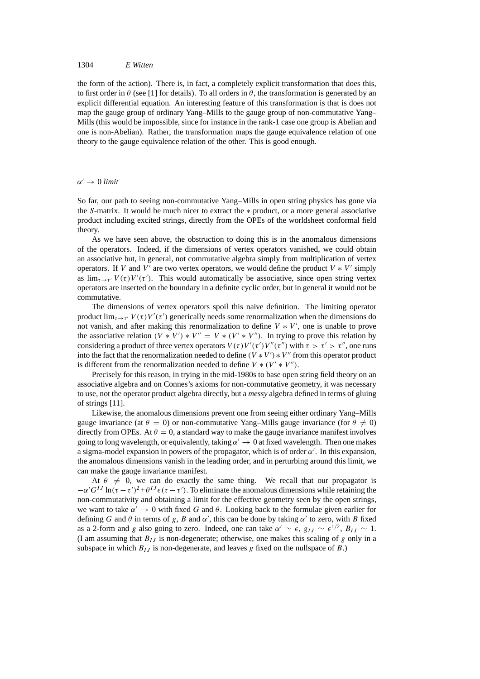## 1304 *E Witten*

the form of the action). There is, in fact, a completely explicit transformation that does this, to first order in  $\theta$  (see [1] for details). To all orders in  $\theta$ , the transformation is generated by an explicit differential equation. An interesting feature of this transformation is that is does not map the gauge group of ordinary Yang–Mills to the gauge group of non-commutative Yang– Mills (this would be impossible, since for instance in the rank-1 case one group is Abelian and one is non-Abelian). Rather, the transformation maps the gauge equivalence relation of one theory to the gauge equivalence relation of the other. This is good enough.

## $\alpha' \rightarrow 0$  *limit*

So far, our path to seeing non-commutative Yang–Mills in open string physics has gone via the *S*-matrix. It would be much nicer to extract the ∗ product, or a more general associative product including excited strings, directly from the OPEs of the worldsheet conformal field theory.

As we have seen above, the obstruction to doing this is in the anomalous dimensions of the operators. Indeed, if the dimensions of vertex operators vanished, we could obtain an associative but, in general, not commutative algebra simply from multiplication of vertex operators. If *V* and *V'* are two vertex operators, we would define the product  $V * V'$  simply as  $\lim_{\tau \to \tau'} V(\tau) V'(\tau')$ . This would automatically be associative, since open string vertex operators are inserted on the boundary in a definite cyclic order, but in general it would not be commutative.

The dimensions of vertex operators spoil this naive definition. The limiting operator product  $\lim_{\tau \to \tau'} V(\tau) V'(\tau')$  generically needs some renormalization when the dimensions do not vanish, and after making this renormalization to define  $V * V'$ , one is unable to prove the associative relation  $(V * V') * V'' = V * (V' * V'')$ . In trying to prove this relation by considering a product of three vertex operators  $V(\tau)V'(\tau')V''(\tau'')$  with  $\tau > \tau' > \tau''$ , one runs into the fact that the renormalization needed to define  $(V * V') * V''$  from this operator product is different from the renormalization needed to define  $V * (V' * V'')$ .

Precisely for this reason, in trying in the mid-1980s to base open string field theory on an associative algebra and on Connes's axioms for non-commutative geometry, it was necessary to use, not the operator product algebra directly, but a *messy* algebra defined in terms of gluing of strings [11].

Likewise, the anomalous dimensions prevent one from seeing either ordinary Yang–Mills gauge invariance (at  $\theta = 0$ ) or non-commutative Yang–Mills gauge invariance (for  $\theta \neq 0$ ) directly from OPEs. At  $\theta = 0$ , a standard way to make the gauge invariance manifest involves going to long wavelength, or equivalently, taking  $\alpha' \to 0$  at fixed wavelength. Then one makes a sigma-model expansion in powers of the propagator, which is of order  $\alpha'$ . In this expansion, the anomalous dimensions vanish in the leading order, and in perturbing around this limit, we can make the gauge invariance manifest.

At  $\theta \neq 0$ , we can do exactly the same thing. We recall that our propagator is  $-\alpha' G^{IJ} \ln(\tau - \tau')^2 + \theta^{IJ} \epsilon(\tau - \tau')$ . To eliminate the anomalous dimensions while retaining the non-commutativity and obtaining a limit for the effective geometry seen by the open strings, we want to take  $\alpha' \to 0$  with fixed *G* and  $\theta$ . Looking back to the formulae given earlier for defining *G* and  $\theta$  in terms of *g*, *B* and  $\alpha'$ , this can be done by taking  $\alpha'$  to zero, with *B* fixed as a 2-form and *g* also going to zero. Indeed, one can take  $\alpha' \sim \epsilon$ ,  $g_{IJ} \sim \epsilon^{1/2}$ ,  $B_{IJ} \sim 1$ . (I am assuming that  $B_{IJ}$  is non-degenerate; otherwise, one makes this scaling of *g* only in a subspace in which  $B_{IJ}$  is non-degenerate, and leaves g fixed on the nullspace of  $B$ .)